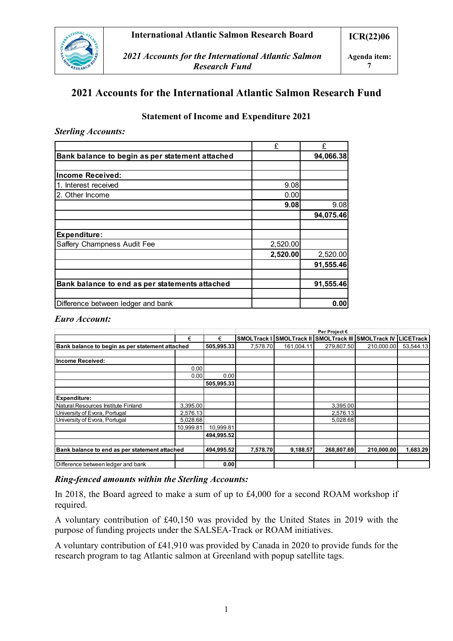# **2021 Accounts for the International Atlantic Salmon Research Fund**

### **Statement of Income and Expenditure 2021**

#### *Sterling Accounts:*

|                                                 | £        | £         |
|-------------------------------------------------|----------|-----------|
| Bank balance to begin as per statement attached |          | 94,066.38 |
|                                                 |          |           |
| Income Received:                                |          |           |
| 1. Interest received                            | 9.08     |           |
| 2. Other Income                                 | 0.00     |           |
|                                                 | 9.08     | 9.08      |
|                                                 |          | 94,075.46 |
| <b>Expenditure:</b>                             |          |           |
| Saffery Champness Audit Fee                     | 2,520.00 |           |
|                                                 | 2,520.00 | 2,520.00  |
|                                                 |          | 91,555.46 |
| Bank balance to end as per statements attached  |          | 91,555.46 |
| Difference between ledger and bank              |          | 0.00      |

#### *Euro Account:*

|                                                 |           |            | Per Project € |                                 |            |                            |                  |
|-------------------------------------------------|-----------|------------|---------------|---------------------------------|------------|----------------------------|------------------|
|                                                 | €         | €          |               | <b>SMOLTrack I SMOLTrack II</b> |            | SMOLTrack III SMOLTrack IV | <b>LICETrack</b> |
| Bank balance to begin as per statement attached |           | 505,995.33 | 7.578.70      | 161,004.11                      | 279.807.50 | 210.000.00                 | 53,544.13        |
|                                                 |           |            |               |                                 |            |                            |                  |
| <b>Income Received:</b>                         |           |            |               |                                 |            |                            |                  |
|                                                 | 0.00      |            |               |                                 |            |                            |                  |
|                                                 | 0.00      | 0.00       |               |                                 |            |                            |                  |
|                                                 |           | 505,995.33 |               |                                 |            |                            |                  |
|                                                 |           |            |               |                                 |            |                            |                  |
| <b>Expenditure:</b>                             |           |            |               |                                 |            |                            |                  |
| Natural Resources Institute Finland             | 3,395.00  |            |               |                                 | 3,395.00   |                            |                  |
| University of Evora, Portugal                   | 2,576.13  |            |               |                                 | 2,576.13   |                            |                  |
| University of Evora, Portugal                   | 5,028.68  |            |               |                                 | 5,028.68   |                            |                  |
|                                                 | 10,999.81 | 10,999.81  |               |                                 |            |                            |                  |
|                                                 |           | 494,995.52 |               |                                 |            |                            |                  |
| Bank balance to end as per statement attached   |           | 494,995.52 | 7,578.70      | 9,188.57                        | 268,807.69 | 210.000.00                 | 1,683.29         |
| Difference between ledger and bank              |           | 0.001      |               |                                 |            |                            |                  |

#### *Ring-fenced amounts within the Sterling Accounts:*

In 2018, the Board agreed to make a sum of up to £4,000 for a second ROAM workshop if required.

A voluntary contribution of £40,150 was provided by the United States in 2019 with the purpose of funding projects under the SALSEA-Track or ROAM initiatives.

A voluntary contribution of £41,910 was provided by Canada in 2020 to provide funds for the research program to tag Atlantic salmon at Greenland with popup satellite tags.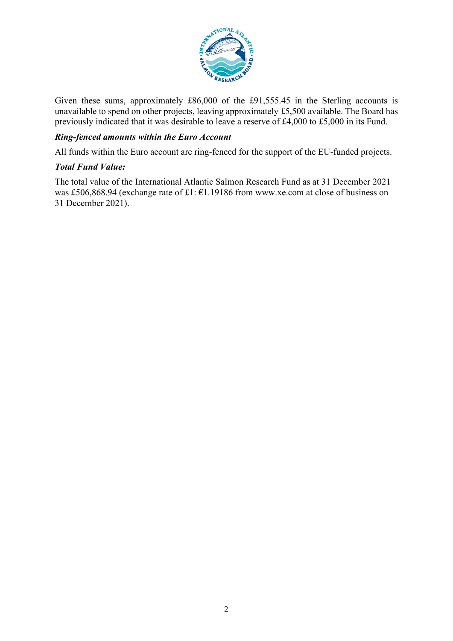

Given these sums, approximately £86,000 of the £91,555.45 in the Sterling accounts is unavailable to spend on other projects, leaving approximately £5,500 available. The Board has previously indicated that it was desirable to leave a reserve of £4,000 to £5,000 in its Fund.

#### *Ring-fenced amounts within the Euro Account*

All funds within the Euro account are ring-fenced for the support of the EU-funded projects.

#### *Total Fund Value:*

The total value of the International Atlantic Salmon Research Fund as at 31 December 2021 was £506,868.94 (exchange rate of £1: €1.19186 from www.xe.com at close of business on 31 December 2021).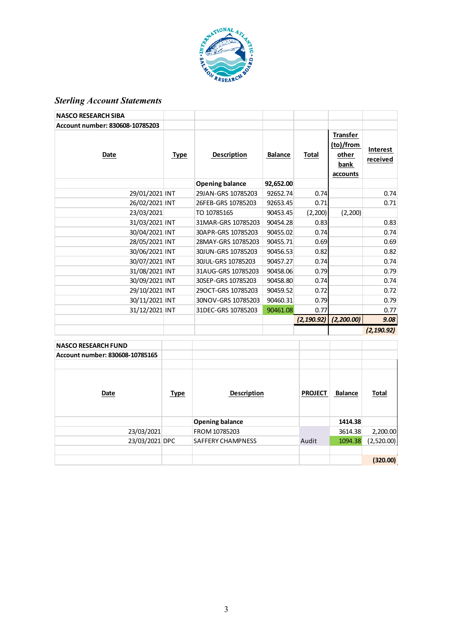

# *Sterling Account Statements*

| <b>NASCO RESEARCH SIBA</b>      |             |                        |                |                |                                                           |                      |
|---------------------------------|-------------|------------------------|----------------|----------------|-----------------------------------------------------------|----------------------|
| Account number: 830608-10785203 |             |                        |                |                |                                                           |                      |
| Date                            | <u>Type</u> | <b>Description</b>     | <b>Balance</b> | <b>Total</b>   | <b>Transfer</b><br>(to)/from<br>other<br>bank<br>accounts | Interest<br>received |
|                                 |             | <b>Opening balance</b> | 92,652.00      |                |                                                           |                      |
| 29/01/2021 INT                  |             | 29JAN-GRS 10785203     | 92652.74       | 0.74           |                                                           | 0.74                 |
| 26/02/2021 INT                  |             | 26FEB-GRS 10785203     | 92653.45       | 0.71           |                                                           | 0.71                 |
| 23/03/2021                      |             | TO 10785165            | 90453.45       | (2,200)        | (2,200)                                                   |                      |
| 31/03/2021 INT                  |             | 31MAR-GRS 10785203     | 90454.28       | 0.83           |                                                           | 0.83                 |
| 30/04/2021 INT                  |             | 30APR-GRS 10785203     | 90455.02       | 0.74           |                                                           | 0.74                 |
| 28/05/2021 INT                  |             | 28MAY-GRS 10785203     | 90455.71       | 0.69           |                                                           | 0.69                 |
| 30/06/2021 INT                  |             | 30JUN-GRS 10785203     | 90456.53       | 0.82           |                                                           | 0.82                 |
| 30/07/2021 INT                  |             | 30JUL-GRS 10785203     | 90457.27       | 0.74           |                                                           | 0.74                 |
| 31/08/2021 INT                  |             | 31AUG-GRS 10785203     | 90458.06       | 0.79           |                                                           | 0.79                 |
| 30/09/2021 INT                  |             | 30SEP-GRS 10785203     | 90458.80       | 0.74           |                                                           | 0.74                 |
| 29/10/2021 INT                  |             | 29OCT-GRS 10785203     | 90459.52       | 0.72           |                                                           | 0.72                 |
| 30/11/2021 INT                  |             | 30NOV-GRS 10785203     | 90460.31       | 0.79           |                                                           | 0.79                 |
| 31/12/2021 INT                  |             | 31DEC-GRS 10785203     | 90461.08       | 0.77           |                                                           | 0.77                 |
|                                 |             |                        |                | (2, 190.92)    | (2, 200.00)                                               | 9.08                 |
|                                 |             |                        |                |                |                                                           | (2, 190.92)          |
| <b>NASCO RESEARCH FUND</b>      |             |                        |                |                |                                                           |                      |
| Account number: 830608-10785165 |             |                        |                |                |                                                           |                      |
|                                 |             |                        |                |                |                                                           |                      |
| Date                            | <b>Type</b> | <b>Description</b>     |                | <b>PROJECT</b> | <b>Balance</b>                                            | <b>Total</b>         |

| Date           | <u>iype</u> | <b>Description</b>       | <b>PROJECT</b> | <b>Balance</b> | <u>iotal</u> |
|----------------|-------------|--------------------------|----------------|----------------|--------------|
|                |             |                          |                |                |              |
|                |             | <b>Opening balance</b>   |                | 1414.38        |              |
| 23/03/2021     |             | FROM 10785203            |                | 3614.38        | 2,200.00     |
| 23/03/2021 DPC |             | <b>SAFFERY CHAMPNESS</b> | Audit          | 1094.38        | (2,520.00)   |
|                |             |                          |                |                |              |
|                |             |                          |                |                | (320.00)     |